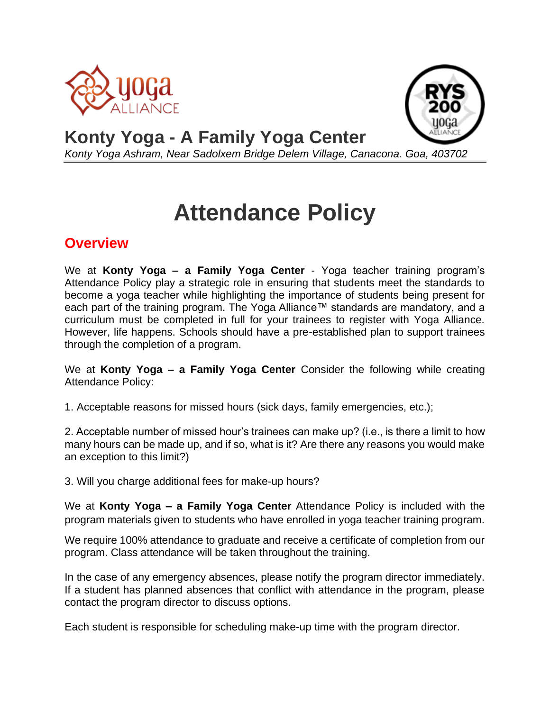



## **Konty Yoga - A Family Yoga Center**  *Konty Yoga Ashram, Near Sadolxem Bridge Delem Village, Canacona. Goa, 403702*

## **Attendance Policy**

## **Overview**

We at **Konty Yoga – a Family Yoga Center** - Yoga teacher training program's Attendance Policy play a strategic role in ensuring that students meet the standards to become a yoga teacher while highlighting the importance of students being present for each part of the training program. The Yoga Alliance™ standards are mandatory, and a curriculum must be completed in full for your trainees to register with Yoga Alliance. However, life happens. Schools should have a pre-established plan to support trainees through the completion of a program.

We at **Konty Yoga – a Family Yoga Center** Consider the following while creating Attendance Policy:

1. Acceptable reasons for missed hours (sick days, family emergencies, etc.);

2. Acceptable number of missed hour's trainees can make up? (i.e., is there a limit to how many hours can be made up, and if so, what is it? Are there any reasons you would make an exception to this limit?)

3. Will you charge additional fees for make-up hours?

We at **Konty Yoga – a Family Yoga Center** Attendance Policy is included with the program materials given to students who have enrolled in yoga teacher training program.

We require 100% attendance to graduate and receive a certificate of completion from our program. Class attendance will be taken throughout the training.

In the case of any emergency absences, please notify the program director immediately. If a student has planned absences that conflict with attendance in the program, please contact the program director to discuss options.

Each student is responsible for scheduling make-up time with the program director.